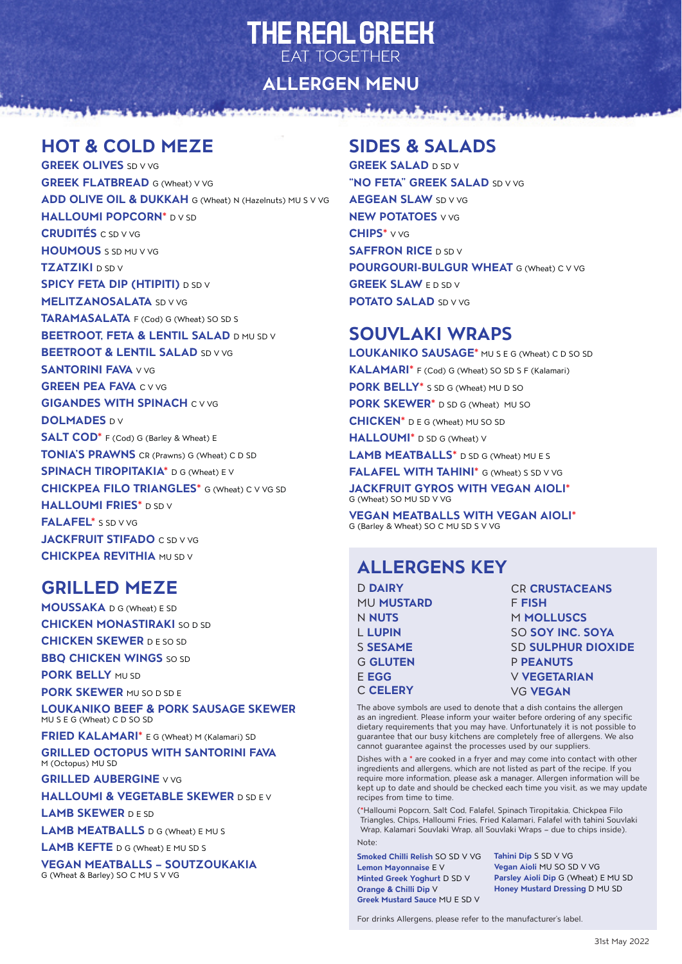# **THE REAL GREEK FAT TOGETHER**

**ALLERGEN MENU**

#### **HOT & COLD MEZE**

**GREEK OLIVES** SD V VG **GREEK FLATBREAD** G (Wheat) V VG **ADD OLIVE OIL & DUKKAH** G (Wheat) N (Hazelnuts) MU S V VG **HALLOUMI POPCORN\*** D V SD **CRUDITÉS** C SD V VG **HOUMOUS** S SD MU V VG **TZATZIKI** D SD V **SPICY FETA DIP (HTIPITI) D SD V MELITZANOSALATA** SD V VG **TARAMASALATA** F (Cod) G (Wheat) SO SD S **BEETROOT, FETA & LENTIL SALAD D MU SD V BEETROOT & LENTIL SALAD SD V VG SANTORINI FAVA v** vG **GREEN PEA FAVA C V VG GIGANDES WITH SPINACH C V VG DOLMADES DV SALT COD\*** F (Cod) G (Barley & Wheat) E **TONIA'S PRAWNS** CR (Prawns) G (Wheat) C D SD **SPINACH TIROPITAKIA\*** D G (Wheat) E V **CHICKPEA FILO TRIANGLES\*** G (Wheat) C V VG SD **HALLOUMI FRIES\*** D SD V **FALAFEL\*** S SD V VG **JACKFRUIT STIFADO** C SD V VG **CHICKPEA REVITHIA** MU SD V

#### **GRILLED MEZE**

**MOUSSAKA** D G (Wheat) E SD **CHICKEN MONASTIRAKI SO D SD CHICKEN SKEWER** D E SO SD **BBQ CHICKEN WINGS** SO SD

**PORK BELLY MU SD** 

**PORK SKEWER** MU SO D SD E

**LOUKANIKO BEEF & PORK SAUSAGE SKEWER** MU S E G (Wheat) C D SO SD

**FRIED KALAMARI\*** E G (Wheat) M (Kalamari) SD

**GRILLED OCTOPUS WITH SANTORINI FAVA**  M (Octopus) MU SD

**GRILLED AUBERGINE** V VG

**HALLOUMI & VEGETABLE SKEWER** D SD E V

**LAMB SKEWER** D E SD

**LAMB MEATBALLS** D G (Wheat) E MU S

**LAMB KEFTE** D G (Wheat) E MU SD S

**VEGAN MEATBALLS – SOUTZOUKAKIA**  G (Wheat & Barley) SO C MU S V VG

#### **SIDES & SALADS**

ومشبب

**GREEK SALAD** D SD V **"NO FETA" GREEK SALAD** SD V VG **AEGEAN SLAW** SD V VG **NEW POTATOES** V VG **CHIPS\*** V VG **SAFFRON RICE** D SD V **POURGOURI-BULGUR WHEAT** G (Wheat) C V VG **GREEK SLAW FD SD V POTATO SALAD SD V VG** 

#### **SOUVLAKI WRAPS**

**LOUKANIKO SAUSAGE\*** MU S E G (Wheat) C D SO SD **KALAMARI\*** F (Cod) G (Wheat) SO SD S F (Kalamari) **PORK BELLY\*** S SD G (Wheat) MU D SO **PORK SKEWER\*** D SD G (Wheat) MU SO **CHICKEN\*** D E G (Wheat) MU SO SD **HALLOUMI\*** D SD G (Wheat) V **LAMB MEATBALLS\*** D SD G (Wheat) MU E S **FALAFEL WITH TAHINI\*** G (Wheat) S SD V VG **JACKFRUIT GYROS WITH VEGAN AIOLI\*** G (Wheat) SO MU SD V VG

**VEGAN MEATBALLS WITH VEGAN AIOLI\*** G (Barley & Wheat) SO C MU SD S V VG

## **ALLERGENS KEY**

| <b>D DAIRY</b>    | <b>CR CRUSTACEANS</b>     |
|-------------------|---------------------------|
| <b>MU MUSTARD</b> | <b>F FISH</b>             |
| N <b>NUTS</b>     | M MOLLUSCS                |
| <b>L LUPIN</b>    | SO SOY INC. SOYA          |
| <b>S SESAME</b>   | <b>SD SULPHUR DIOXIDE</b> |
| <b>G GLUTEN</b>   | <b>P PEANUTS</b>          |
| E EGG             | <b>V VEGETARIAN</b>       |
| <b>C CELERY</b>   | <b>VG VEGAN</b>           |
|                   |                           |

The above symbols are used to denote that a dish contains the allergen as an ingredient. Please inform your waiter before ordering of any specific dietary requirements that you may have. Unfortunately it is not possible to guarantee that our busy kitchens are completely free of allergens. We also cannot guarantee against the processes used by our suppliers.

Dishes with a **\*** are cooked in a fryer and may come into contact with other ingredients and allergens, which are not listed as part of the recipe. If you require more information, please ask a manager. Allergen information will be kept up to date and should be checked each time you visit, as we may update recipes from time to time.

( **\***Halloumi Popcorn, Salt Cod, Falafel, Spinach Tiropitakia, Chickpea Filo Triangles, Chips, Halloumi Fries, Fried Kalamari, Falafel with tahini Souvlaki Wrap, Kalamari Souvlaki Wrap, all Souvlaki Wraps – due to chips inside). Note:

**Smoked Chilli Relish** SO SD V VG **Tahini Dip** S SD V VG **Lemon Mayonnaise** E V **Minted Greek Yoghurt** D SD V **Orange & Chilli Dip** V **Greek Mustard Sauce** MU E SD V

**Vegan Aioli** MU SO SD V VG **Parsley Aioli Dip** G (Wheat) E MU SD **Honey Mustard Dressing** D MU SD

For drinks Allergens, please refer to the manufacturer's label.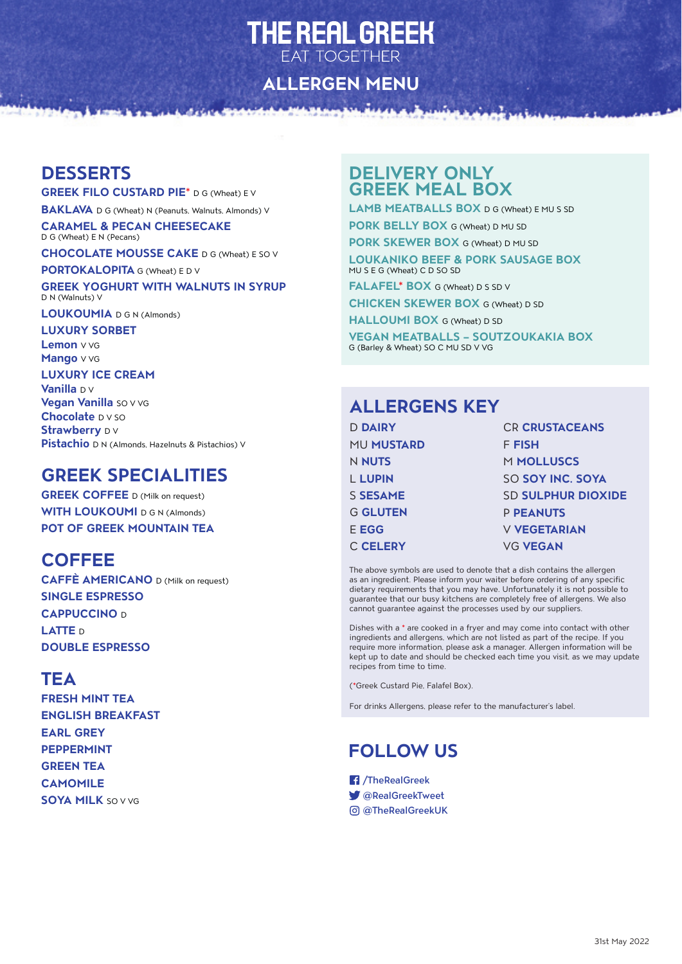# THE REAL GREEK **EAT TOGETHER**

**ALLERGEN MENU**

#### **DESSERTS**

**GREEK FILO CUSTARD PIE\*** D G (Wheat) E V

**BAKLAVA** D G (Wheat) N (Peanuts, Walnuts, Almonds) V

**BANKAR** 

**CARAMEL & PECAN CHEESECAKE** D G (Wheat) E N (Pecans)

**CHOCOLATE MOUSSE CAKE** D G (Wheat) E SO V

**PORTOKALOPITA** G (Wheat) E D V

**GREEK YOGHURT WITH WALNUTS IN SYRUP** D N (Walnuts) V

**LOUKOUMIA** D G N (Almonds)

#### **LUXURY SORBET**

**Lemon** V VG **Mango** V VG

#### **LUXURY ICE CREAM**

**Vanilla** D V **Vegan Vanilla** so v vg **Chocolate** D V SO **Strawberry** DV **Pistachio** D N (Almonds, Hazelnuts & Pistachios) V

#### **GREEK SPECIALITIES**

**GREEK COFFEE** D (Milk on request) **WITH LOUKOUMI D G N (Almonds) POT OF GREEK MOUNTAIN TEA**

#### **COFFEE**

**CAFFÈ AMERICANO** D (Milk on request) **SINGLE ESPRESSO CAPPUCCINO** <sup>D</sup> **LATTE** <sup>D</sup> **DOUBLE ESPRESSO**

#### **TEA**

**FRESH MINT TEA ENGLISH BREAKFAST EARL GREY PEPPERMINT GREEN TEA CAMOMILE SOYA MILK** SO V VG

#### **DELIVERY ONLY GREEK MEAL BOX**

**LAMB MEATBALLS BOX** D G (Wheat) E MU S SD

**PORK BELLY BOX** G (Wheat) D MU SD

**PORK SKEWER BOX** G (Wheat) D MU SD

**LOUKANIKO BEEF & PORK SAUSAGE BOX** MU S E G (Wheat) C D SO SD

**FALAFEL\* BOX** G (Wheat) D S SD V

**CHICKEN SKEWER BOX** G (Wheat) D SD

**HALLOUMI BOX** G (Wheat) D SD

**VEGAN MEATBALLS – SOUTZOUKAKIA BOX** G (Barley & Wheat) SO C MU SD V VG

#### **ALLERGENS KEY**

| <b>D DAIRY</b>    | <b>CR CRUSTACEANS</b>     |
|-------------------|---------------------------|
| <b>MU MUSTARD</b> | F FISH                    |
| N NUTS            | M MOLLUSCS                |
| <b>L LUPIN</b>    | SO SOY INC. SOYA          |
| S <b>SESAME</b>   | <b>SD SULPHUR DIOXIDE</b> |
| <b>G GLUTEN</b>   | <b>P PEANUTS</b>          |
| E EGG             | <b>V VEGETARIAN</b>       |
| <b>C CELERY</b>   | <b>VG VEGAN</b>           |

The above symbols are used to denote that a dish contains the allergen as an ingredient. Please inform your waiter before ordering of any specific dietary requirements that you may have. Unfortunately it is not possible to guarantee that our busy kitchens are completely free of allergens. We also cannot guarantee against the processes used by our suppliers.

Dishes with a **\*** are cooked in a fryer and may come into contact with other ingredients and allergens, which are not listed as part of the recipe. If you require more information, please ask a manager. Allergen information will be kept up to date and should be checked each time you visit, as we may update recipes from time to time.

( **\***Greek Custard Pie, Falafel Box).

For drinks Allergens, please refer to the manufacturer's label.

## **FOLLOW US**

/TheRealGreek

- @RealGreekTweet
- @TheRealGreekUK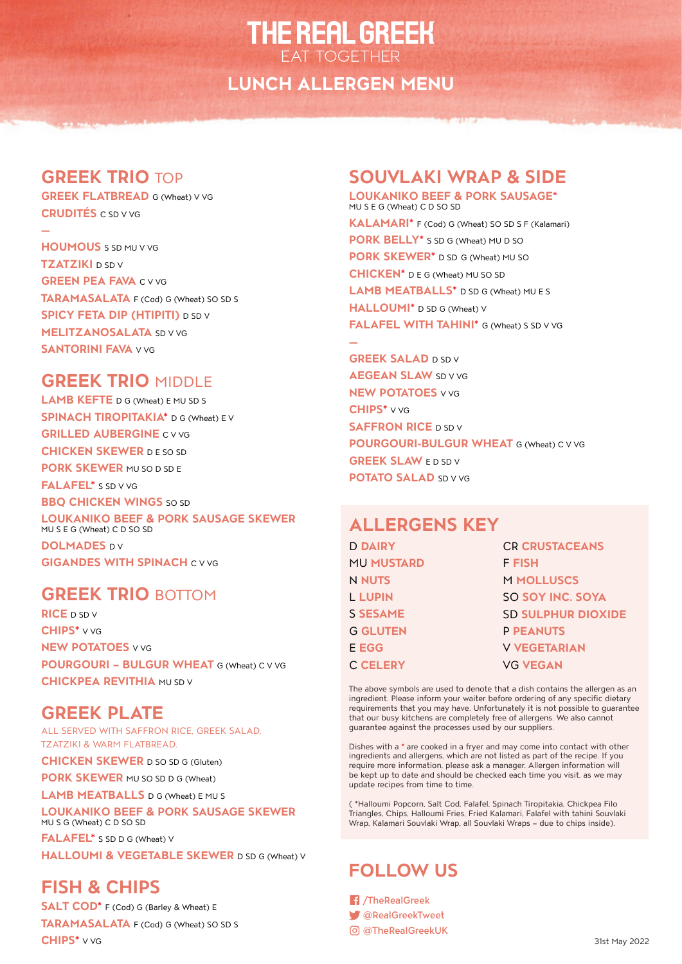# **THE REAL GREEK EAT TOGETHER**

### **LUNCH ALLERGEN MENU**

#### **GREEK TRIO** TOP

**—**

**GREEK FLATBREAD** G (Wheat) V VG **CRUDITÉS** C SD V VG

**HOUMOUS** S SD MU V VG **TZATZIKI** D SD V **GREEN PEA FAVA C V VG TARAMASALATA** F (Cod) G (Wheat) SO SD S **SPICY FETA DIP (HTIPITI)** D SD V **MELITZANOSALATA** SD V VG **SANTORINI FAVA** V VG

#### **GREEK TRIO** MIDDLE

**LAMB KEFTE** D G (Wheat) E MU SD S **SPINACH TIROPITAKIA\*** D G (Wheat) E V **GRILLED AUBERGINE** C V VG **CHICKEN SKEWER** D E SO SD **PORK SKEWER** MU SO D SD E **FALAFEL\*** S SD V VG **BBO CHICKEN WINGS** SO SD **LOUKANIKO BEEF & PORK SAUSAGE SKEWER** MU S E G (Wheat) C D SO SD **DOLMADES** DV

**GIGANDES WITH SPINACH C V VG** 

#### **GREEK TRIO** BOTTOM

**RICE** D SD V **CHIPS\*** V VG **NEW POTATOES** V VG **POURGOURI – BULGUR WHEAT** G (Wheat) C V VG **CHICKPEA REVITHIA MU SD V** 

#### **GREEK PLATE**

ALL SERVED WITH SAFFRON RICE, GREEK SALAD, TZATZIKI & WARM FLATBREAD.

**CHICKEN SKEWER** D SO SD G (Gluten)

**PORK SKEWER** MU SO SD D G (Wheat)

**LAMB MEATBALLS** D G (Wheat) E MU S

**LOUKANIKO BEEF & PORK SAUSAGE SKEWER** MU S G (Wheat) C D SO SD

**FALAFEL\*** S SD D G (Wheat) V **HALLOUMI & VEGETABLE SKEWER** D SD G (Wheat) V

#### **FISH & CHIPS**

**SALT COD\*** F (Cod) G (Barley & Wheat) E **TARAMASALATA** F (Cod) G (Wheat) SO SD S **CHIPS\*** V VG

# **SOUVLAKI WRAP & SIDE**

**LOUKANIKO BEEF & PORK SAUSAGE\*** MU S E G (Wheat) C D SO SD **KALAMARI\*** F (Cod) G (Wheat) SO SD S F (Kalamari) **PORK BELLY\*** S SD G (Wheat) MU D SO **PORK SKEWER\*** D SD G (Wheat) MU SO **CHICKEN\*** D E G (Wheat) MU SO SD **LAMB MEATBALLS\*** D SD G (Wheat) MU E S **HALLOUMI\*** D SD G (Wheat) V **FALAFEL WITH TAHINI\*** G (Wheat) S SD V VG **—**

**GREEK SALAD** D SD V **AEGEAN SLAW** SD V VG **NEW POTATOES** V VG **CHIPS\*** V VG **SAFFRON RICE** D SD V **POURGOURI-BULGUR WHEAT** G (Wheat) C V VG **GREEK SLAW ED SD V POTATO SALAD** SD V VG

#### **ALLERGENS KEY**

| <b>D DAIRY</b>    | <b>CR CRUSTACEANS</b>     |
|-------------------|---------------------------|
| <b>MU MUSTARD</b> | F FISH                    |
| <b>N NUTS</b>     | <b>M MOLLUSCS</b>         |
| <b>L LUPIN</b>    | <b>SO SOY INC. SOYA</b>   |
| <b>S SESAME</b>   | <b>SD SULPHUR DIOXIDE</b> |
| <b>G GLUTEN</b>   | <b>P PEANUTS</b>          |
| <b>E EGG</b>      | <b>V VEGETARIAN</b>       |
| <b>C CELERY</b>   | <b>VG VEGAN</b>           |

The above symbols are used to denote that a dish contains the allergen as an ingredient. Please inform your waiter before ordering of any specific dietary requirements that you may have. Unfortunately it is not possible to guarantee that our busy kitchens are completely free of allergens. We also cannot guarantee against the processes used by our suppliers.

Dishes with a **\*** are cooked in a fryer and may come into contact with other ingredients and allergens, which are not listed as part of the recipe. If you require more information, please ask a manager. Allergen information will be kept up to date and should be checked each time you visit, as we may update recipes from time to time.

( \*Halloumi Popcorn, Salt Cod, Falafel, Spinach Tiropitakia, Chickpea Filo Triangles, Chips, Halloumi Fries, Fried Kalamari, Falafel with tahini Souvlaki Wrap, Kalamari Souvlaki Wrap, all Souvlaki Wraps – due to chips inside).

# **FOLLOW US**

/TheRealGreek @RealGreekTweet @TheRealGreekUK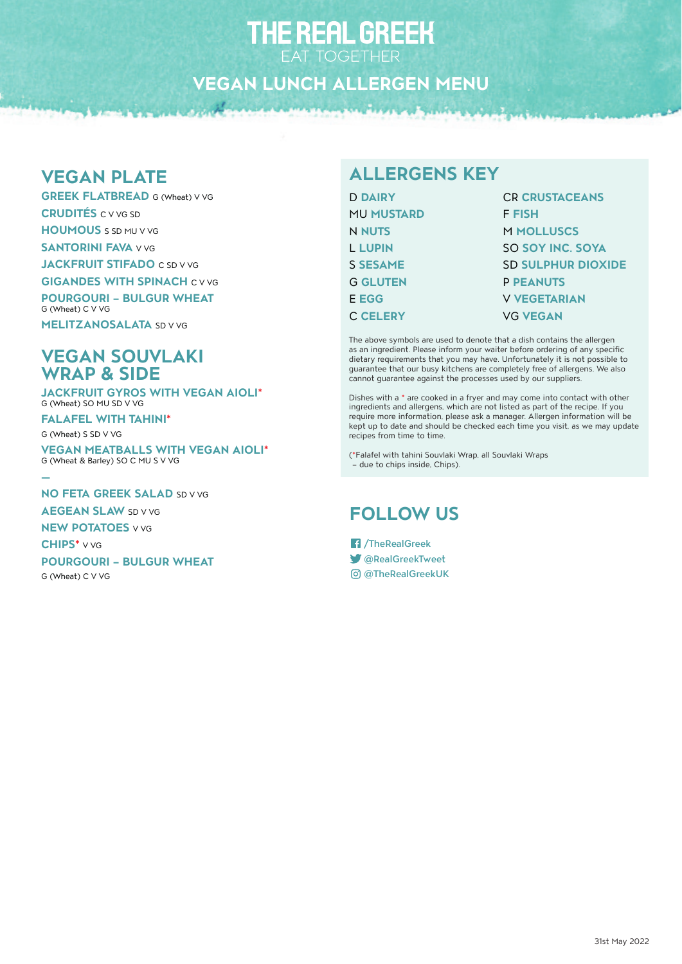### **VEGAN LUNCH ALLERGEN MENU**

#### **VEGAN PLATE**

**GREEK FLATBREAD** G (Wheat) V VG **CRUDITÉS** C V VG SD **HOUMOUS** S SD MU V VG **SANTORINI FAVA v** vG **JACKFRUIT STIFADO** C SD V VG **GIGANDES WITH SPINACH C V VG POURGOURI – BULGUR WHEAT**

G (Wheat) C V VG **MELITZANOSALATA** SD V VG

#### **VEGAN SOUVLAKI WRAP & SIDE**

**JACKFRUIT GYROS WITH VEGAN AIOLI\*** G (Wheat) SO MU SD V VG

**FALAFEL WITH TAHINI\*** G (Wheat) S SD V VG

**VEGAN MEATBALLS WITH VEGAN AIOLI\*** G (Wheat & Barley) SO C MU S V VG

**— NO FETA GREEK SALAD SD V VG AEGEAN SLAW** SD V VG **NEW POTATOES** V VG

**CHIPS\*** V VG **POURGOURI – BULGUR WHEAT**

G (Wheat) C V VG

# **ALLERGENS KEY**

| <b>CR CRUSTACEANS</b>     |
|---------------------------|
| <b>F FISH</b>             |
| <b>M MOLLUSCS</b>         |
| SO SOY INC. SOYA          |
| <b>SD SULPHUR DIOXIDE</b> |
| <b>P PEANUTS</b>          |
| <b>V VEGETARIAN</b>       |
| <b>VG VEGAN</b>           |
|                           |

The above symbols are used to denote that a dish contains the allergen as an ingredient. Please inform your waiter before ordering of any specific dietary requirements that you may have. Unfortunately it is not possible to guarantee that our busy kitchens are completely free of allergens. We also cannot guarantee against the processes used by our suppliers.

Dishes with a \* are cooked in a fryer and may come into contact with other ingredients and allergens, which are not listed as part of the recipe. If you require more information, please ask a manager. Allergen information will be kept up to date and should be checked each time you visit, as we may update recipes from time to time.

(\*Falafel with tahini Souvlaki Wrap, all Souvlaki Wraps – due to chips inside, Chips).

## **FOLLOW US**

/TheRealGreek @RealGreekTweet @TheRealGreekUK